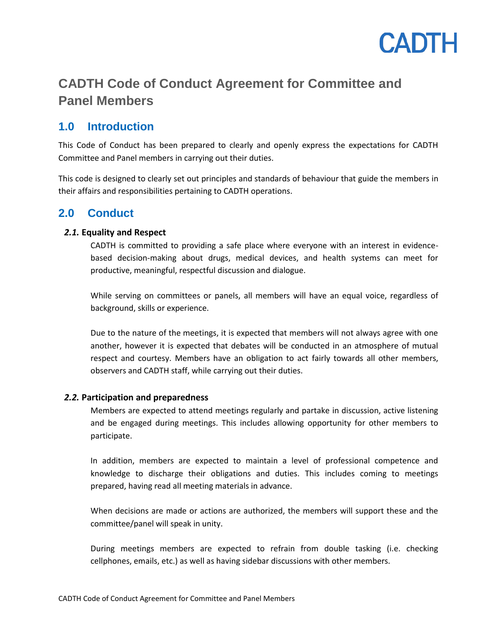

# **CADTH Code of Conduct Agreement for Committee and Panel Members**

# **1.0 Introduction**

This Code of Conduct has been prepared to clearly and openly express the expectations for CADTH Committee and Panel members in carrying out their duties.

This code is designed to clearly set out principles and standards of behaviour that guide the members in their affairs and responsibilities pertaining to CADTH operations.

## **2.0 Conduct**

### *2.1.* **Equality and Respect**

CADTH is committed to providing a safe place where everyone with an interest in evidencebased decision-making about drugs, medical devices, and health systems can meet for productive, meaningful, respectful discussion and dialogue.

While serving on committees or panels, all members will have an equal voice, regardless of background, skills or experience.

Due to the nature of the meetings, it is expected that members will not always agree with one another, however it is expected that debates will be conducted in an atmosphere of mutual respect and courtesy. Members have an obligation to act fairly towards all other members, observers and CADTH staff, while carrying out their duties.

#### *2.2.* **Participation and preparedness**

Members are expected to attend meetings regularly and partake in discussion, active listening and be engaged during meetings. This includes allowing opportunity for other members to participate.

In addition, members are expected to maintain a level of professional competence and knowledge to discharge their obligations and duties. This includes coming to meetings prepared, having read all meeting materials in advance.

When decisions are made or actions are authorized, the members will support these and the committee/panel will speak in unity.

During meetings members are expected to refrain from double tasking (i.e. checking cellphones, emails, etc.) as well as having sidebar discussions with other members.